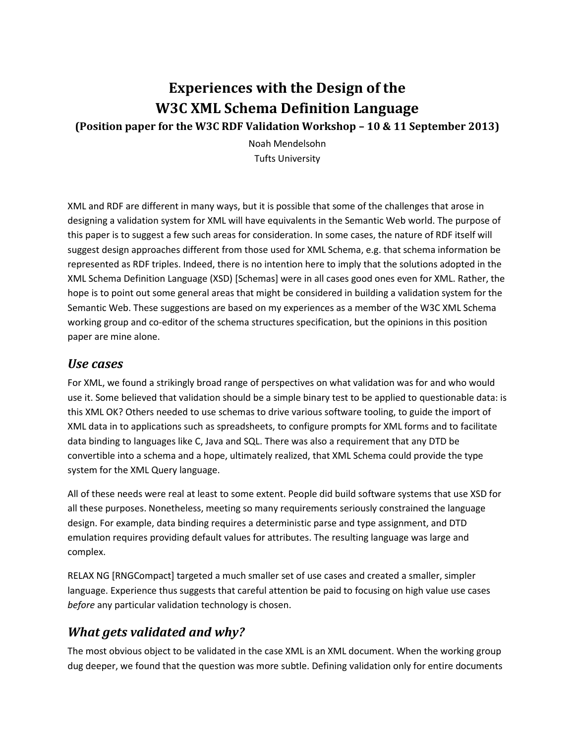# **Experiences with the Design of the W3C XML Schema Definition Language**

**(Position paper for the W3C RDF Validation Workshop – 10 & 11 September 2013)**

Noah Mendelsohn Tufts University

XML and RDF are different in many ways, but it is possible that some of the challenges that arose in designing a validation system for XML will have equivalents in the Semantic Web world. The purpose of this paper is to suggest a few such areas for consideration. In some cases, the nature of RDF itself will suggest design approaches different from those used for XML Schema, e.g. that schema information be represented as RDF triples. Indeed, there is no intention here to imply that the solutions adopted in the XML Schema Definition Language (XSD) [Schemas] were in all cases good ones even for XML. Rather, the hope is to point out some general areas that might be considered in building a validation system for the Semantic Web. These suggestions are based on my experiences as a member of the W3C XML Schema working group and co-editor of the schema structures specification, but the opinions in this position paper are mine alone.

#### *Use cases*

For XML, we found a strikingly broad range of perspectives on what validation was for and who would use it. Some believed that validation should be a simple binary test to be applied to questionable data: is this XML OK? Others needed to use schemas to drive various software tooling, to guide the import of XML data in to applications such as spreadsheets, to configure prompts for XML forms and to facilitate data binding to languages like C, Java and SQL. There was also a requirement that any DTD be convertible into a schema and a hope, ultimately realized, that XML Schema could provide the type system for the XML Query language.

All of these needs were real at least to some extent. People did build software systems that use XSD for all these purposes. Nonetheless, meeting so many requirements seriously constrained the language design. For example, data binding requires a deterministic parse and type assignment, and DTD emulation requires providing default values for attributes. The resulting language was large and complex.

RELAX NG [RNGCompact] targeted a much smaller set of use cases and created a smaller, simpler language. Experience thus suggests that careful attention be paid to focusing on high value use cases *before* any particular validation technology is chosen.

## *What gets validated and why?*

The most obvious object to be validated in the case XML is an XML document. When the working group dug deeper, we found that the question was more subtle. Defining validation only for entire documents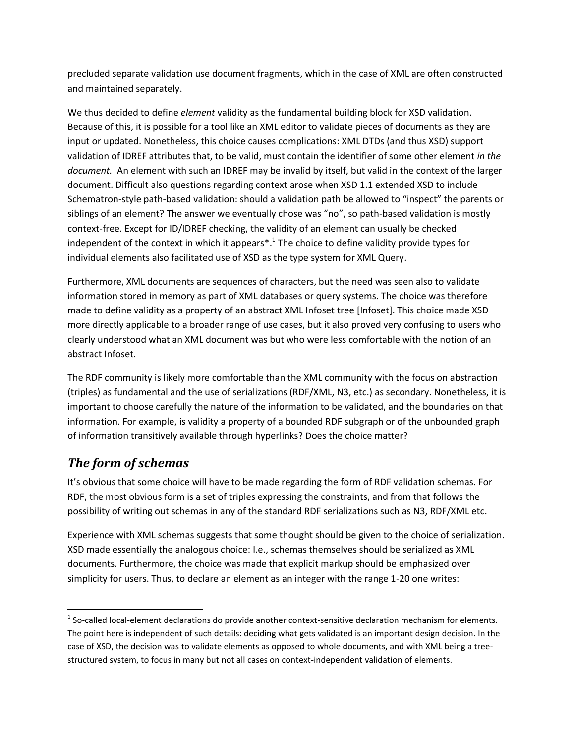precluded separate validation use document fragments, which in the case of XML are often constructed and maintained separately.

We thus decided to define *element* validity as the fundamental building block for XSD validation. Because of this, it is possible for a tool like an XML editor to validate pieces of documents as they are input or updated. Nonetheless, this choice causes complications: XML DTDs (and thus XSD) support validation of IDREF attributes that, to be valid, must contain the identifier of some other element *in the document.* An element with such an IDREF may be invalid by itself, but valid in the context of the larger document. Difficult also questions regarding context arose when XSD 1.1 extended XSD to include Schematron-style path-based validation: should a validation path be allowed to "inspect" the parents or siblings of an element? The answer we eventually chose was "no", so path-based validation is mostly context-free. Except for ID/IDREF checking, the validity of an element can usually be checked independent of the context in which it appears<sup>\*</sup>.<sup>1</sup> The choice to define validity provide types for individual elements also facilitated use of XSD as the type system for XML Query.

Furthermore, XML documents are sequences of characters, but the need was seen also to validate information stored in memory as part of XML databases or query systems. The choice was therefore made to define validity as a property of an abstract XML Infoset tree [Infoset]. This choice made XSD more directly applicable to a broader range of use cases, but it also proved very confusing to users who clearly understood what an XML document was but who were less comfortable with the notion of an abstract Infoset.

The RDF community is likely more comfortable than the XML community with the focus on abstraction (triples) as fundamental and the use of serializations (RDF/XML, N3, etc.) as secondary. Nonetheless, it is important to choose carefully the nature of the information to be validated, and the boundaries on that information. For example, is validity a property of a bounded RDF subgraph or of the unbounded graph of information transitively available through hyperlinks? Does the choice matter?

## *The form of schemas*

 $\overline{\phantom{a}}$ 

It's obvious that some choice will have to be made regarding the form of RDF validation schemas. For RDF, the most obvious form is a set of triples expressing the constraints, and from that follows the possibility of writing out schemas in any of the standard RDF serializations such as N3, RDF/XML etc.

Experience with XML schemas suggests that some thought should be given to the choice of serialization. XSD made essentially the analogous choice: I.e., schemas themselves should be serialized as XML documents. Furthermore, the choice was made that explicit markup should be emphasized over simplicity for users. Thus, to declare an element as an integer with the range 1-20 one writes:

 $1$  So-called local-element declarations do provide another context-sensitive declaration mechanism for elements. The point here is independent of such details: deciding what gets validated is an important design decision. In the case of XSD, the decision was to validate elements as opposed to whole documents, and with XML being a treestructured system, to focus in many but not all cases on context-independent validation of elements.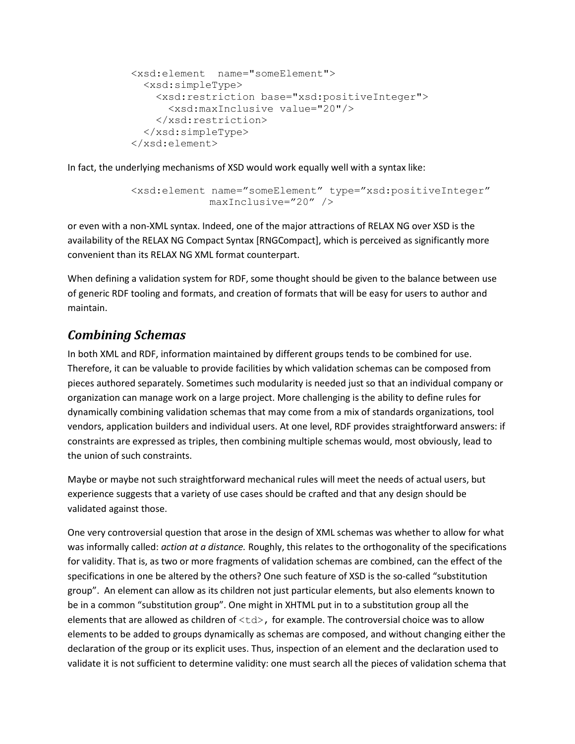```
<xsd:element name="someElement">
   <xsd:simpleType>
     <xsd:restriction base="xsd:positiveInteger">
       <xsd:maxInclusive value="20"/>
     </xsd:restriction>
   </xsd:simpleType>
</xsd:element>
```
In fact, the underlying mechanisms of XSD would work equally well with a syntax like:

```
<xsd:element name="someElement" type="xsd:positiveInteger"
             maxInclusive="20" />
```
or even with a non-XML syntax. Indeed, one of the major attractions of RELAX NG over XSD is the availability of the RELAX NG Compact Syntax [RNGCompact], which is perceived as significantly more convenient than its RELAX NG XML format counterpart.

When defining a validation system for RDF, some thought should be given to the balance between use of generic RDF tooling and formats, and creation of formats that will be easy for users to author and maintain.

## *Combining Schemas*

In both XML and RDF, information maintained by different groups tends to be combined for use. Therefore, it can be valuable to provide facilities by which validation schemas can be composed from pieces authored separately. Sometimes such modularity is needed just so that an individual company or organization can manage work on a large project. More challenging is the ability to define rules for dynamically combining validation schemas that may come from a mix of standards organizations, tool vendors, application builders and individual users. At one level, RDF provides straightforward answers: if constraints are expressed as triples, then combining multiple schemas would, most obviously, lead to the union of such constraints.

Maybe or maybe not such straightforward mechanical rules will meet the needs of actual users, but experience suggests that a variety of use cases should be crafted and that any design should be validated against those.

One very controversial question that arose in the design of XML schemas was whether to allow for what was informally called: *action at a distance.* Roughly, this relates to the orthogonality of the specifications for validity. That is, as two or more fragments of validation schemas are combined, can the effect of the specifications in one be altered by the others? One such feature of XSD is the so-called "substitution group". An element can allow as its children not just particular elements, but also elements known to be in a common "substitution group". One might in XHTML put in to a substitution group all the elements that are allowed as children of  $|$ , for example. The controversial choice was to allow elements to be added to groups dynamically as schemas are composed, and without changing either the declaration of the group or its explicit uses. Thus, inspection of an element and the declaration used to validate it is not sufficient to determine validity: one must search all the pieces of validation schema that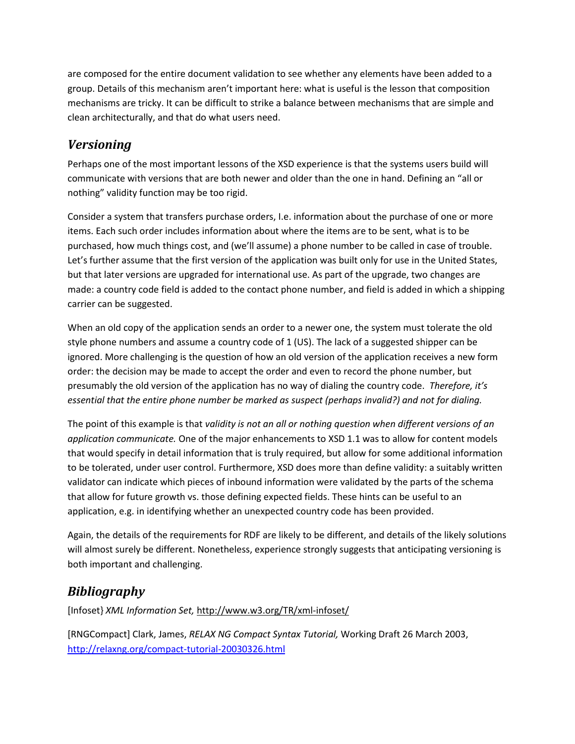are composed for the entire document validation to see whether any elements have been added to a group. Details of this mechanism aren't important here: what is useful is the lesson that composition mechanisms are tricky. It can be difficult to strike a balance between mechanisms that are simple and clean architecturally, and that do what users need.

#### *Versioning*

Perhaps one of the most important lessons of the XSD experience is that the systems users build will communicate with versions that are both newer and older than the one in hand. Defining an "all or nothing" validity function may be too rigid.

Consider a system that transfers purchase orders, I.e. information about the purchase of one or more items. Each such order includes information about where the items are to be sent, what is to be purchased, how much things cost, and (we'll assume) a phone number to be called in case of trouble. Let's further assume that the first version of the application was built only for use in the United States, but that later versions are upgraded for international use. As part of the upgrade, two changes are made: a country code field is added to the contact phone number, and field is added in which a shipping carrier can be suggested.

When an old copy of the application sends an order to a newer one, the system must tolerate the old style phone numbers and assume a country code of 1 (US). The lack of a suggested shipper can be ignored. More challenging is the question of how an old version of the application receives a new form order: the decision may be made to accept the order and even to record the phone number, but presumably the old version of the application has no way of dialing the country code. *Therefore, it's essential that the entire phone number be marked as suspect (perhaps invalid?) and not for dialing.*

The point of this example is that *validity is not an all or nothing question when different versions of an application communicate.* One of the major enhancements to XSD 1.1 was to allow for content models that would specify in detail information that is truly required, but allow for some additional information to be tolerated, under user control. Furthermore, XSD does more than define validity: a suitably written validator can indicate which pieces of inbound information were validated by the parts of the schema that allow for future growth vs. those defining expected fields. These hints can be useful to an application, e.g. in identifying whether an unexpected country code has been provided.

Again, the details of the requirements for RDF are likely to be different, and details of the likely solutions will almost surely be different. Nonetheless, experience strongly suggests that anticipating versioning is both important and challenging.

## *Bibliography*

[Infoset} *XML Information Set,* <http://www.w3.org/TR/xml-infoset/>

[RNGCompact] Clark, James, *RELAX NG Compact Syntax Tutorial,* Working Draft 26 March 2003, <http://relaxng.org/compact-tutorial-20030326.html>